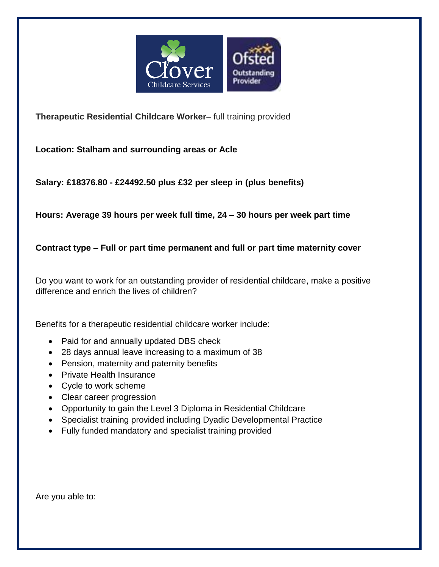

**Therapeutic Residential Childcare Worker–** full training provided

**Location: Stalham and surrounding areas or Acle**

**Salary: £18376.80 - £24492.50 plus £32 per sleep in (plus benefits)**

**Hours: Average 39 hours per week full time, 24 – 30 hours per week part time**

## **Contract type – Full or part time permanent and full or part time maternity cover**

Do you want to work for an outstanding provider of residential childcare, make a positive difference and enrich the lives of children?

Benefits for a therapeutic residential childcare worker include:

- Paid for and annually updated DBS check
- 28 days annual leave increasing to a maximum of 38
- Pension, maternity and paternity benefits
- Private Health Insurance
- Cycle to work scheme
- Clear career progression
- Opportunity to gain the Level 3 Diploma in Residential Childcare
- Specialist training provided including Dyadic Developmental Practice
- Fully funded mandatory and specialist training provided

Are you able to: